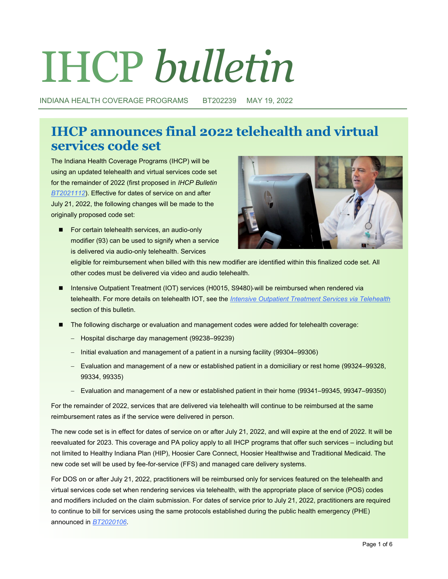# IHCP *bulletin*

INDIANA HEALTH COVERAGE PROGRAMS BT202239 MAY 19, 2022

## **IHCP announces final 2022 telehealth and virtual services code set**

The Indiana Health Coverage Programs (IHCP) will be using an updated telehealth and virtual services code set for the remainder of 2022 (first proposed in *IHCP Bulletin [BT2021112](http://provider.indianamedicaid.com/ihcp/Bulletins/BT2021112.pdf)*). Effective for dates of service on and after July 21, 2022, the following changes will be made to the originally proposed code set:

■ For certain telehealth services, an audio-only modifier (93) can be used to signify when a service is delivered via audio-only telehealth. Services



eligible for reimbursement when billed with this new modifier are identified within this finalized code set. All other codes must be delivered via video and audio telehealth.

- Intensive Outpatient Treatment (IOT) services (H0015, S9480)-will be reimbursed when rendered via telehealth. For more details on telehealth IOT, see the *[Intensive Outpatient Treatment Services via Telehealth](#page-3-0)* section of this bulletin.
- The following discharge or evaluation and management codes were added for telehealth coverage:
	- − Hospital discharge day management (99238–99239)
	- − Initial evaluation and management of a patient in a nursing facility (99304–99306)
	- − Evaluation and management of a new or established patient in a domiciliary or rest home (99324–99328, 99334, 99335)
	- − Evaluation and management of a new or established patient in their home (99341–99345, 99347–99350)

For the remainder of 2022, services that are delivered via telehealth will continue to be reimbursed at the same reimbursement rates as if the service were delivered in person.

The new code set is in effect for dates of service on or after July 21, 2022, and will expire at the end of 2022. It will be reevaluated for 2023. This coverage and PA policy apply to all IHCP programs that offer such services – including but not limited to Healthy Indiana Plan (HIP), Hoosier Care Connect, Hoosier Healthwise and Traditional Medicaid. The new code set will be used by fee-for-service (FFS) and managed care delivery systems.

For DOS on or after July 21, 2022, practitioners will be reimbursed only for services featured on the telehealth and virtual services code set when rendering services via telehealth, with the appropriate place of service (POS) codes and modifiers included on the claim submission. For dates of service prior to July 21, 2022, practitioners are required to continue to bill for services using the same protocols established during the public health emergency (PHE) announced in *[BT2020106](http://provider.indianamedicaid.com/ihcp/Bulletins/BT2020106.pdf)*.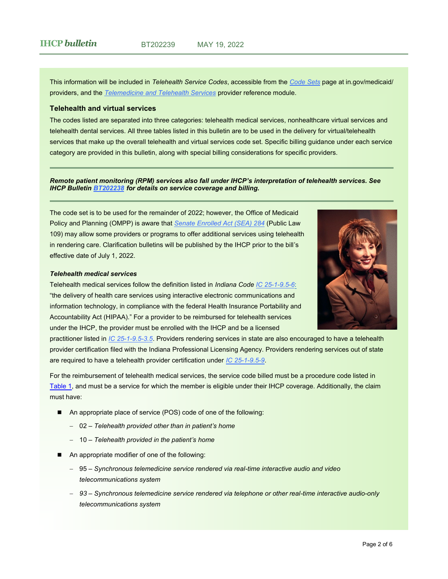This information will be included in *Telehealth Service Codes*, accessible from the *[Code Sets](https://www.in.gov/medicaid/providers/business-transactions/billing-and-remittance/code-sets/)* page at in.gov/medicaid/ providers, and the *[Telemedicine and Telehealth Services](https://www.in.gov/medicaid/providers/files/telemedicine-and-telehealth-services.pdf)* provider reference module.

#### **Telehealth and virtual services**

The codes listed are separated into three categories: telehealth medical services, nonhealthcare virtual services and telehealth dental services. All three tables listed in this bulletin are to be used in the delivery for virtual/telehealth services that make up the overall telehealth and virtual services code set. Specific billing guidance under each service category are provided in this bulletin, along with special billing considerations for specific providers.

#### *Remote patient monitoring (RPM) services also fall under IHCP's interpretation of telehealth services. See IHCP Bulletin [BT202238](http://provider.indianamedicaid.com/ihcp/Bulletins/BT202238.pdf) for details on service coverage and billing.*

The code set is to be used for the remainder of 2022; however, the Office of Medicaid Policy and Planning (OMPP) is aware that *[Senate Enrolled Act \(SEA\) 284](http://iga.in.gov/legislative/2022/bills/senate/284)* (Public Law 109) may allow some providers or programs to offer additional services using telehealth in rendering care. Clarification bulletins will be published by the IHCP prior to the bill's effective date of July 1, 2022.

#### *Telehealth medical services*



Telehealth medical services follow the definition listed in *Indiana Code [IC 25](http://iga.in.gov/legislative/laws/2021/ic/titles/25#25-1-9.5-6)-1-9.5-6*: "the delivery of health care services using interactive electronic communications and information technology, in compliance with the federal Health Insurance Portability and Accountability Act (HIPAA)." For a provider to be reimbursed for telehealth services under the IHCP, the provider must be enrolled with the IHCP and be a licensed

practitioner listed in *[IC 25](http://iga.in.gov/legislative/laws/2021/ic/titles/025/#25-1-9.5-3.5)-1-9.5-3.5*. Providers rendering services in state are also encouraged to have a telehealth provider certification filed with the Indiana Professional Licensing Agency. Providers rendering services out of state are required to have a telehealth provider certification under *[IC 25](http://iga.in.gov/legislative/laws/2021/ic/titles/025/#25-1-9.5-9)-1-9.5-9*.

For the reimbursement of telehealth medical services, the service code billed must be a procedure code listed in [Table 1,](#page-6-0) and must be a service for which the member is eligible under their IHCP coverage. Additionally, the claim must have:

- An appropriate place of service (POS) code of one of the following:
	- − 02 *Telehealth provided other than in patient's home*
	- − 10 *Telehealth provided in the patient's home*
- An appropriate modifier of one of the following:
	- − 95 *Synchronous telemedicine service rendered via real-time interactive audio and video telecommunications system*
	- − *93 Synchronous telemedicine service rendered via telephone or other real-time interactive audio-only telecommunications system*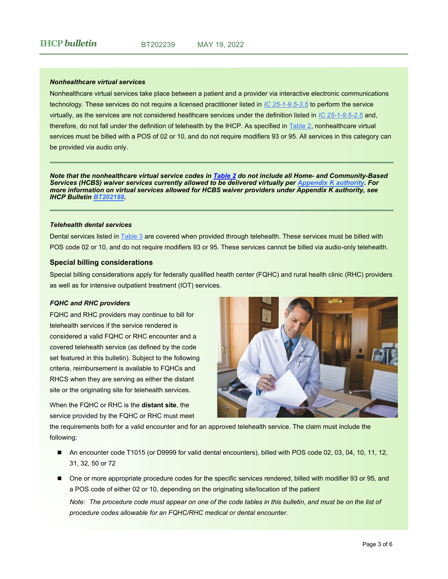#### *Nonhealthcare virtual services*

Nonhealthcare virtual services take place between a patient and a provider via interactive electronic communications technology. These services do not require a licensed practitioner listed in *[IC 25](http://iga.in.gov/legislative/laws/2021/ic/titles/025/#25-1-9.5-3.5)-1-9.5-3.5* to perform the service virtually, as the services are not considered healthcare services under the definition listed in *[IC 25](http://iga.in.gov/legislative/laws/2021/ic/titles/25#25-1-9.5-2.5)-1-9.5-2.5* and, therefore, do not fall under the definition of telehealth by the IHCP. As specified in [Table 2,](#page-21-0) nonhealthcare virtual services must be billed with a POS of 02 or 10, and do not require modifiers 93 or 95. All services in this category can be provided via audio only.

*Note that the nonhealthcare virtual service codes in [Table 2](#page-21-0) do not include all Home- and Community-Based Services (HCBS) waiver services currently allowed to be delivered virtually per [Appendix K authority.](https://www.medicaid.gov/resources-for-states/disaster-response-toolkit/home-community-based-services-public-health-emergencies/emergency-preparedness-and-response-for-home-and-community-based-hcbs-1915c-waivers/index.html) For more information on virtual services allowed for HCBS waiver providers under Appendix K authority, see IHCP Bulletin [BT202188.](http://provider.indianamedicaid.com/ihcp/Bulletins/BT202188.pdf)*

#### *Telehealth dental services*

Dental services listed in [Table 3](#page-21-0) are covered when provided through telehealth. These services must be billed with POS code 02 or 10, and do not require modifiers 93 or 95. These services cannot be billed via audio-only telehealth.

#### **Special billing considerations**

Special billing considerations apply for federally qualified health center (FQHC) and rural health clinic (RHC) providers as well as for intensive outpatient treatment (IOT) services.

#### *FQHC and RHC providers*

FQHC and RHC providers may continue to bill for telehealth services if the service rendered is considered a valid FQHC or RHC encounter and a covered telehealth service (as defined by the code set featured in this bulletin). Subject to the following criteria, reimbursement is available to FQHCs and RHCS when they are serving as either the distant site or the originating site for telehealth services.

When the FQHC or RHC is the **distant site**, the service provided by the FQHC or RHC must meet



the requirements both for a valid encounter and for an approved telehealth service. The claim must include the following:

- An encounter code T1015 (or D9999 for valid dental encounters), billed with POS code 02, 03, 04, 10, 11, 12, 31, 32, 50 or 72
- One or more appropriate procedure codes for the specific services rendered, billed with modifier 93 or 95, and a POS code of either 02 or 10, depending on the originating site/location of the patient

*Note: The procedure code must appear on one of the code tables in this bulletin, and must be on the list of procedure codes allowable for an FQHC/RHC medical or dental encounter.*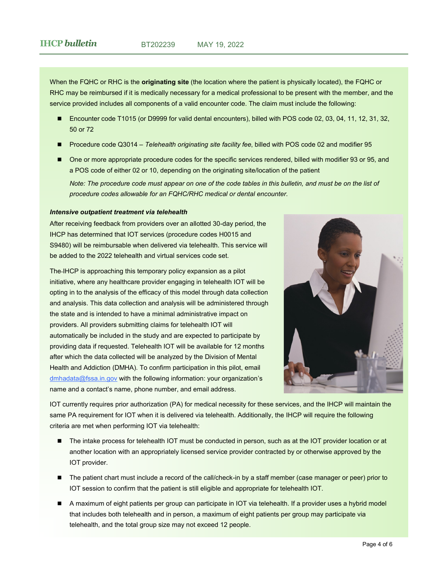<span id="page-3-0"></span>When the FQHC or RHC is the **originating site** (the location where the patient is physically located), the FQHC or RHC may be reimbursed if it is medically necessary for a medical professional to be present with the member, and the service provided includes all components of a valid encounter code. The claim must include the following:

- Encounter code T1015 (or D9999 for valid dental encounters), billed with POS code 02, 03, 04, 11, 12, 31, 32, 50 or 72
- Procedure code Q3014 *Telehealth originating site facility fee*, billed with POS code 02 and modifier 95
- One or more appropriate procedure codes for the specific services rendered, billed with modifier 93 or 95, and a POS code of either 02 or 10, depending on the originating site/location of the patient

*Note: The procedure code must appear on one of the code tables in this bulletin, and must be on the list of procedure codes allowable for an FQHC/RHC medical or dental encounter.* 

#### *Intensive outpatient treatment via telehealth*

After receiving feedback from providers over an allotted 30-day period, the IHCP has determined that IOT services (procedure codes H0015 and S9480) will be reimbursable when delivered via telehealth. This service will be added to the 2022 telehealth and virtual services code set.

The IHCP is approaching this temporary policy expansion as a pilot initiative, where any healthcare provider engaging in telehealth IOT will be opting in to the analysis of the efficacy of this model through data collection and analysis. This data collection and analysis will be administered through the state and is intended to have a minimal administrative impact on providers. All providers submitting claims for telehealth IOT will automatically be included in the study and are expected to participate by providing data if requested. Telehealth IOT will be available for 12 months after which the data collected will be analyzed by the Division of Mental Health and Addiction (DMHA). To confirm participation in this pilot, email [dmhadata@fssa.in.gov](mailto:dmhadata@fssa.in.gov) with the following information: your organization's name and a contact's name, phone number, and email address.



IOT currently requires prior authorization (PA) for medical necessity for these services, and the IHCP will maintain the same PA requirement for IOT when it is delivered via telehealth. Additionally, the IHCP will require the following criteria are met when performing IOT via telehealth:

- The intake process for telehealth IOT must be conducted in person, such as at the IOT provider location or at another location with an appropriately licensed service provider contracted by or otherwise approved by the IOT provider.
- The patient chart must include a record of the call/check-in by a staff member (case manager or peer) prior to IOT session to confirm that the patient is still eligible and appropriate for telehealth IOT.
- A maximum of eight patients per group can participate in IOT via telehealth. If a provider uses a hybrid model that includes both telehealth and in person, a maximum of eight patients per group may participate via telehealth, and the total group size may not exceed 12 people.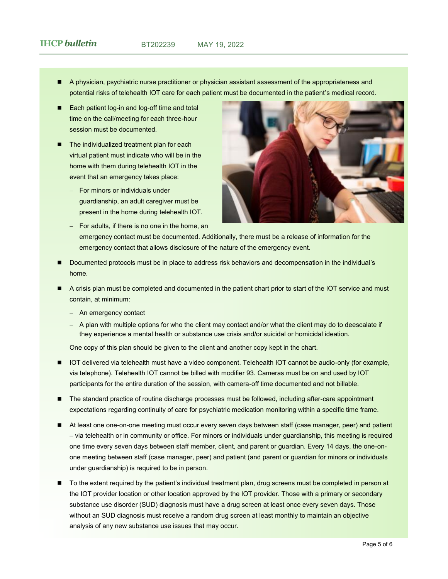- A physician, psychiatric nurse practitioner or physician assistant assessment of the appropriateness and potential risks of telehealth IOT care for each patient must be documented in the patient's medical record.
- Each patient log-in and log-off time and total time on the call/meeting for each three-hour session must be documented.
- The individualized treatment plan for each virtual patient must indicate who will be in the home with them during telehealth IOT in the event that an emergency takes place:
	- − For minors or individuals under guardianship, an adult caregiver must be present in the home during telehealth IOT.



- − For adults, if there is no one in the home, an emergency contact must be documented. Additionally, there must be a release of information for the emergency contact that allows disclosure of the nature of the emergency event.
- Documented protocols must be in place to address risk behaviors and decompensation in the individual's home.
- A crisis plan must be completed and documented in the patient chart prior to start of the IOT service and must contain, at minimum:
	- − An emergency contact
	- − A plan with multiple options for who the client may contact and/or what the client may do to deescalate if they experience a mental health or substance use crisis and/or suicidal or homicidal ideation.

One copy of this plan should be given to the client and another copy kept in the chart.

- IOT delivered via telehealth must have a video component. Telehealth IOT cannot be audio-only (for example, via telephone). Telehealth IOT cannot be billed with modifier 93. Cameras must be on and used by IOT participants for the entire duration of the session, with camera-off time documented and not billable.
- The standard practice of routine discharge processes must be followed, including after-care appointment expectations regarding continuity of care for psychiatric medication monitoring within a specific time frame.
- At least one one-on-one meeting must occur every seven days between staff (case manager, peer) and patient – via telehealth or in community or office. For minors or individuals under guardianship, this meeting is required one time every seven days between staff member, client, and parent or guardian. Every 14 days, the one-onone meeting between staff (case manager, peer) and patient (and parent or guardian for minors or individuals under guardianship) is required to be in person.
- To the extent required by the patient's individual treatment plan, drug screens must be completed in person at the IOT provider location or other location approved by the IOT provider. Those with a primary or secondary substance use disorder (SUD) diagnosis must have a drug screen at least once every seven days. Those without an SUD diagnosis must receive a random drug screen at least monthly to maintain an objective analysis of any new substance use issues that may occur.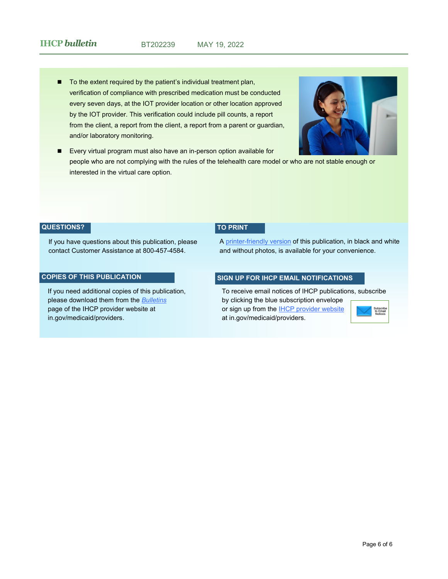■ To the extent required by the patient's individual treatment plan, verification of compliance with prescribed medication must be conducted every seven days, at the IOT provider location or other location approved by the IOT provider. This verification could include pill counts, a report from the client, a report from the client, a report from a parent or guardian, and/or laboratory monitoring.



■ Every virtual program must also have an in-person option available for people who are not complying with the rules of the telehealth care model or who are not stable enough or interested in the virtual care option.

#### **QUESTIONS?**

If you have questions about this publication, please contact Customer Assistance at 800-457-4584.

#### **COPIES OF THIS PUBLICATION**

If you need additional copies of this publication, please download them from the *[Bulletins](https://www.in.gov/medicaid/providers/provider-references/news-bulletins-and-banner-pages/bulletins/)* page of the IHCP provider website at in.gov/medicaid/providers.

#### **TO PRINT**

A printer-[friendly version](http://provider.indianamedicaid.com/ihcp/Bulletins/BT202239_PF.pdf) of this publication, in black and white and without photos, is available for your convenience.

#### **SIGN UP FOR IHCP EMAIL NOTIFICATIONS**

To receive email notices of IHCP publications, subscribe

by clicking the blue subscription envelope or sign up from the **IHCP** provider website at in.gov/medicaid/providers.

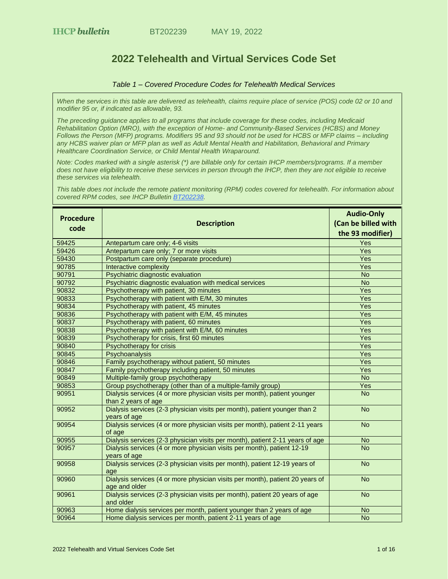### **2022 Telehealth and Virtual Services Code Set**

#### *Table 1 – Covered Procedure Codes for Telehealth Medical Services*

<span id="page-6-0"></span>*When the services in this table are delivered as telehealth, claims require place of service (POS) code 02 or 10 and modifier 95 or, if indicated as allowable, 93.*

*The preceding guidance applies to all programs that include coverage for these codes, including Medicaid Rehabilitation Option (MRO), with the exception of Home- and Community-Based Services (HCBS) and Money Follows the Person (MFP) programs. Modifiers 95 and 93 should not be used for HCBS or MFP claims – including any HCBS waiver plan or MFP plan as well as Adult Mental Health and Habilitation, Behavioral and Primary Healthcare Coordination Service, or Child Mental Health Wraparound.* 

*Note: Codes marked with a single asterisk (\*) are billable only for certain IHCP members/programs. If a member does not have eligibility to receive these services in person through the IHCP, then they are not eligible to receive these services via telehealth.*

*This table does not include the remote patient monitoring (RPM) codes covered for telehealth. For information about covered RPM codes, see IHCP Bulletin [BT202238.](http://provider.indianamedicaid.com/ihcp/Bulletins/BT202238.pdf)*

| <b>Procedure</b><br>code | <b>Description</b>                                                                               | <b>Audio-Only</b><br>(Can be billed with<br>the 93 modifier) |
|--------------------------|--------------------------------------------------------------------------------------------------|--------------------------------------------------------------|
| 59425                    | Antepartum care only; 4-6 visits                                                                 | Yes                                                          |
| 59426                    | Antepartum care only; 7 or more visits                                                           | <b>Yes</b>                                                   |
| 59430                    | Postpartum care only (separate procedure)                                                        | Yes                                                          |
| 90785                    | Interactive complexity                                                                           | Yes                                                          |
| 90791                    | Psychiatric diagnostic evaluation                                                                | <b>No</b>                                                    |
| 90792                    | Psychiatric diagnostic evaluation with medical services                                          | <b>No</b>                                                    |
| 90832                    | Psychotherapy with patient, 30 minutes                                                           | Yes                                                          |
| 90833                    | Psychotherapy with patient with E/M, 30 minutes                                                  | Yes                                                          |
| 90834                    | Psychotherapy with patient, 45 minutes                                                           | Yes                                                          |
| 90836                    | Psychotherapy with patient with E/M, 45 minutes                                                  | Yes                                                          |
| 90837                    | Psychotherapy with patient, 60 minutes                                                           | Yes                                                          |
| 90838                    | Psychotherapy with patient with E/M, 60 minutes                                                  | Yes                                                          |
| 90839                    | Psychotherapy for crisis, first 60 minutes                                                       | Yes                                                          |
| 90840                    | Psychotherapy for crisis                                                                         | Yes                                                          |
| 90845                    | Psychoanalysis                                                                                   | Yes                                                          |
| 90846                    | Family psychotherapy without patient, 50 minutes                                                 | Yes                                                          |
| 90847                    | Family psychotherapy including patient, 50 minutes                                               | Yes                                                          |
| 90849                    | Multiple-family group psychotherapy                                                              | <b>No</b>                                                    |
| 90853                    | Group psychotherapy (other than of a multiple-family group)                                      | Yes                                                          |
| 90951                    | Dialysis services (4 or more physician visits per month), patient younger<br>than 2 years of age | <b>No</b>                                                    |
| 90952                    | Dialysis services (2-3 physician visits per month), patient younger than 2<br>years of age       | <b>No</b>                                                    |
| 90954                    | Dialysis services (4 or more physician visits per month), patient 2-11 years<br>of age           | <b>No</b>                                                    |
| 90955                    | Dialysis services (2-3 physician visits per month), patient 2-11 years of age                    | <b>No</b>                                                    |
| 90957                    | Dialysis services (4 or more physician visits per month), patient 12-19<br>years of age          | <b>No</b>                                                    |
| 90958                    | Dialysis services (2-3 physician visits per month), patient 12-19 years of<br>age                | <b>No</b>                                                    |
| 90960                    | Dialysis services (4 or more physician visits per month), patient 20 years of<br>age and older   | <b>No</b>                                                    |
| 90961                    | Dialysis services (2-3 physician visits per month), patient 20 years of age<br>and older         | <b>No</b>                                                    |
| 90963                    | Home dialysis services per month, patient younger than 2 years of age                            | <b>No</b>                                                    |
| 90964                    | Home dialysis services per month, patient 2-11 years of age                                      | <b>No</b>                                                    |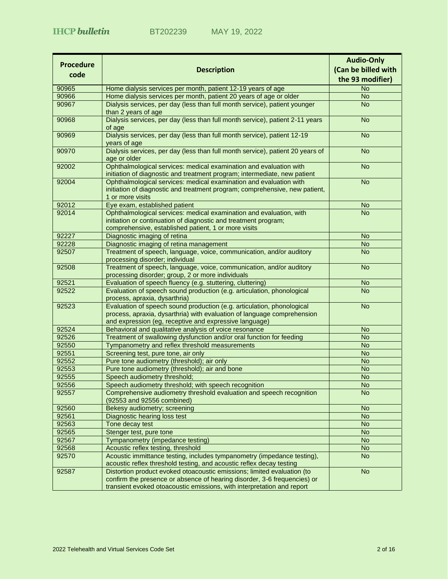| <b>Procedure</b> |                                                                                                                                                   | <b>Audio-Only</b>      |
|------------------|---------------------------------------------------------------------------------------------------------------------------------------------------|------------------------|
|                  | <b>Description</b>                                                                                                                                | (Can be billed with    |
| code             |                                                                                                                                                   | the 93 modifier)       |
| 90965            | Home dialysis services per month, patient 12-19 years of age                                                                                      | <b>No</b>              |
| 90966            | Home dialysis services per month, patient 20 years of age or older                                                                                | <b>No</b>              |
| 90967            | Dialysis services, per day (less than full month service), patient younger                                                                        | <b>No</b>              |
|                  | than 2 years of age                                                                                                                               |                        |
| 90968            | Dialysis services, per day (less than full month service), patient 2-11 years                                                                     | <b>No</b>              |
|                  | of age                                                                                                                                            |                        |
| 90969            | Dialysis services, per day (less than full month service), patient 12-19                                                                          | <b>No</b>              |
|                  | years of age                                                                                                                                      |                        |
| 90970            | Dialysis services, per day (less than full month service), patient 20 years of                                                                    | <b>No</b>              |
|                  | age or older                                                                                                                                      |                        |
| 92002            | Ophthalmological services: medical examination and evaluation with                                                                                | <b>No</b>              |
|                  | initiation of diagnostic and treatment program; intermediate, new patient                                                                         |                        |
| 92004            | Ophthalmological services: medical examination and evaluation with<br>initiation of diagnostic and treatment program; comprehensive, new patient, | <b>No</b>              |
|                  | 1 or more visits                                                                                                                                  |                        |
| 92012            | Eye exam, established patient                                                                                                                     | <b>No</b>              |
| 92014            | Ophthalmological services: medical examination and evaluation, with                                                                               | <b>No</b>              |
|                  | initiation or continuation of diagnostic and treatment program;                                                                                   |                        |
|                  | comprehensive, established patient, 1 or more visits                                                                                              |                        |
| 92227            | Diagnostic imaging of retina                                                                                                                      | <b>No</b>              |
| 92228            | Diagnostic imaging of retina management                                                                                                           | <b>No</b>              |
| 92507            | Treatment of speech, language, voice, communication, and/or auditory                                                                              | <b>No</b>              |
|                  | processing disorder; individual                                                                                                                   |                        |
| 92508            | Treatment of speech, language, voice, communication, and/or auditory                                                                              | <b>No</b>              |
|                  | processing disorder; group, 2 or more individuals                                                                                                 |                        |
| 92521            | Evaluation of speech fluency (e.g. stuttering, cluttering)                                                                                        | <b>No</b>              |
| 92522            | Evaluation of speech sound production (e.g. articulation, phonological                                                                            | <b>No</b>              |
| 92523            | process, apraxia, dysarthria)<br>Evaluation of speech sound production (e.g. articulation, phonological                                           | <b>No</b>              |
|                  | process, apraxia, dysarthria) with evaluation of language comprehension                                                                           |                        |
|                  | and expression (eg, receptive and expressive language)                                                                                            |                        |
| 92524            | Behavioral and qualitative analysis of voice resonance                                                                                            | <b>No</b>              |
| 92526            | Treatment of swallowing dysfunction and/or oral function for feeding                                                                              | <b>No</b>              |
| 92550            | Tympanometry and reflex threshold measurements                                                                                                    | <b>No</b>              |
| 92551            | Screening test, pure tone, air only                                                                                                               | <b>No</b>              |
| 92552            | Pure tone audiometry (threshold); air only                                                                                                        | <b>No</b>              |
| 92553            | Pure tone audiometry (threshold); air and bone                                                                                                    | <b>No</b>              |
| 92555            | Speech audiometry threshold;                                                                                                                      | <b>No</b>              |
| 92556            | Speech audiometry threshold; with speech recognition                                                                                              | <b>No</b>              |
| 92557            | Comprehensive audiometry threshold evaluation and speech recognition                                                                              | <b>No</b>              |
|                  | (92553 and 92556 combined)                                                                                                                        |                        |
| 92560            | Bekesy audiometry; screening                                                                                                                      | <b>No</b>              |
| 92561            | Diagnostic hearing loss test                                                                                                                      | <b>No</b>              |
| 92563            | Tone decay test                                                                                                                                   | <b>No</b>              |
| 92565            | Stenger test, pure tone                                                                                                                           | <b>No</b>              |
| 92567            | Tympanometry (impedance testing)                                                                                                                  | <b>No</b>              |
| 92568            | Acoustic reflex testing, threshold                                                                                                                | <b>No</b><br><b>No</b> |
| 92570            | Acoustic immittance testing, includes tympanometry (impedance testing),<br>acoustic reflex threshold testing, and acoustic reflex decay testing   |                        |
| 92587            | Distortion product evoked otoacoustic emissions; limited evaluation (to                                                                           | <b>No</b>              |
|                  | confirm the presence or absence of hearing disorder, 3-6 frequencies) or                                                                          |                        |
|                  | transient evoked otoacoustic emissions, with interpretation and report                                                                            |                        |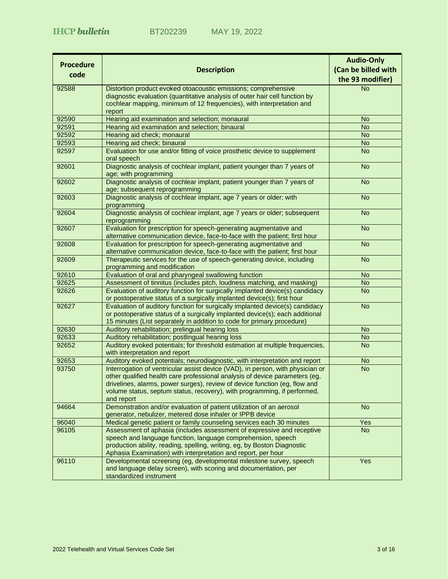|                  |                                                                                                                                                        | <b>Audio-Only</b>   |
|------------------|--------------------------------------------------------------------------------------------------------------------------------------------------------|---------------------|
| <b>Procedure</b> | <b>Description</b>                                                                                                                                     | (Can be billed with |
| code             |                                                                                                                                                        | the 93 modifier)    |
| 92588            | Distortion product evoked otoacoustic emissions; comprehensive                                                                                         | <b>No</b>           |
|                  | diagnostic evaluation (quantitative analysis of outer hair cell function by                                                                            |                     |
|                  | cochlear mapping, minimum of 12 frequencies), with interpretation and                                                                                  |                     |
|                  | report                                                                                                                                                 |                     |
| 92590            | Hearing aid examination and selection; monaural                                                                                                        | <b>No</b>           |
| 92591            | Hearing aid examination and selection; binaural                                                                                                        | <b>No</b>           |
| 92592            | Hearing aid check; monaural                                                                                                                            | <b>No</b>           |
| 92593            | Hearing aid check; binaural                                                                                                                            | <b>No</b>           |
| 92597            | Evaluation for use and/or fitting of voice prosthetic device to supplement<br>oral speech                                                              | <b>No</b>           |
| 92601            | Diagnostic analysis of cochlear implant, patient younger than 7 years of                                                                               | <b>No</b>           |
|                  | age; with programming                                                                                                                                  |                     |
| 92602            | Diagnostic analysis of cochlear implant, patient younger than 7 years of                                                                               | <b>No</b>           |
|                  | age; subsequent reprogramming                                                                                                                          |                     |
| 92603            | Diagnostic analysis of cochlear implant, age 7 years or older; with                                                                                    | <b>No</b>           |
|                  | programming                                                                                                                                            |                     |
| 92604            | Diagnostic analysis of cochlear implant, age 7 years or older; subsequent<br>reprogramming                                                             | <b>No</b>           |
| 92607            | Evaluation for prescription for speech-generating augmentative and                                                                                     | <b>No</b>           |
|                  | alternative communication device, face-to-face with the patient; first hour                                                                            |                     |
| 92608            | Evaluation for prescription for speech-generating augmentative and                                                                                     | <b>No</b>           |
|                  | alternative communication device, face-to-face with the patient; first hour                                                                            |                     |
| 92609            | Therapeutic services for the use of speech-generating device, including                                                                                | <b>No</b>           |
|                  | programming and modification                                                                                                                           |                     |
| 92610            | Evaluation of oral and pharyngeal swallowing function                                                                                                  | <b>No</b>           |
| 92625            | Assessment of tinnitus (includes pitch, loudness matching, and masking)                                                                                | <b>No</b>           |
| 92626            | Evaluation of auditory function for surgically implanted device(s) candidacy                                                                           | <b>No</b>           |
|                  | or postoperative status of a surgically implanted device(s); first hour                                                                                |                     |
| 92627            | Evaluation of auditory function for surgically implanted device(s) candidacy                                                                           | <b>No</b>           |
|                  | or postoperative status of a surgically implanted device(s); each additional<br>15 minutes (List separately in addition to code for primary procedure) |                     |
| 92630            | Auditory rehabilitation; prelingual hearing loss                                                                                                       | <b>No</b>           |
| 92633            | Auditory rehabilitation; postlingual hearing loss                                                                                                      | <b>No</b>           |
| 92652            | Auditory evoked potentials; for threshold estimation at multiple frequencies,                                                                          | <b>No</b>           |
|                  | with interpretation and report                                                                                                                         |                     |
| 92653            | Auditory evoked potentials; neurodiagnostic, with interpretation and report                                                                            | <b>No</b>           |
| 93750            | Interrogation of ventricular assist device (VAD), in person, with physician or                                                                         | <b>No</b>           |
|                  | other qualified health care professional analysis of device parameters (eg,                                                                            |                     |
|                  | drivelines, alarms, power surges), review of device function (eg, flow and                                                                             |                     |
|                  | volume status, septum status, recovery), with programming, if performed,                                                                               |                     |
|                  | and report                                                                                                                                             |                     |
| 94664            | Demonstration and/or evaluation of patient utilization of an aerosol                                                                                   | <b>No</b>           |
| 96040            | generator, nebulizer, metered dose inhaler or IPPB device<br>Medical genetic patient or family counseling services each 30 minutes                     | Yes                 |
| 96105            | Assessment of aphasia (includes assessment of expressive and receptive                                                                                 | <b>No</b>           |
|                  | speech and language function, language comprehension, speech                                                                                           |                     |
|                  | production ability, reading, spelling, writing, eg, by Boston Diagnostic                                                                               |                     |
|                  | Aphasia Examination) with interpretation and report, per hour                                                                                          |                     |
| 96110            | Developmental screening (eg, developmental milestone survey, speech                                                                                    | Yes                 |
|                  | and language delay screen), with scoring and documentation, per                                                                                        |                     |
|                  | standardized instrument                                                                                                                                |                     |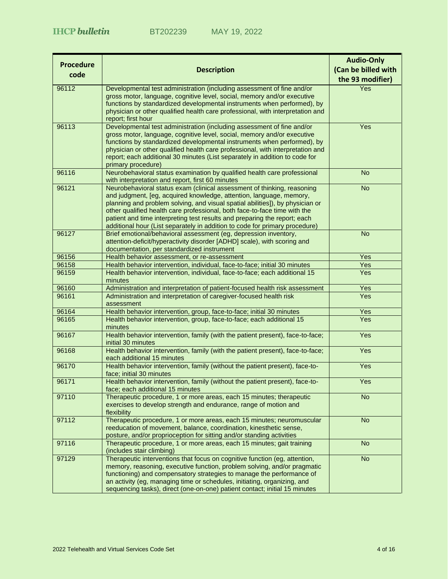|                  |                                                                                                                                                            | <b>Audio-Only</b>   |
|------------------|------------------------------------------------------------------------------------------------------------------------------------------------------------|---------------------|
| <b>Procedure</b> | <b>Description</b>                                                                                                                                         | (Can be billed with |
| code             |                                                                                                                                                            | the 93 modifier)    |
| 96112            | Developmental test administration (including assessment of fine and/or                                                                                     | Yes                 |
|                  | gross motor, language, cognitive level, social, memory and/or executive                                                                                    |                     |
|                  | functions by standardized developmental instruments when performed), by                                                                                    |                     |
|                  | physician or other qualified health care professional, with interpretation and                                                                             |                     |
|                  | report; first hour                                                                                                                                         |                     |
| 96113            | Developmental test administration (including assessment of fine and/or                                                                                     | Yes                 |
|                  | gross motor, language, cognitive level, social, memory and/or executive<br>functions by standardized developmental instruments when performed), by         |                     |
|                  | physician or other qualified health care professional, with interpretation and                                                                             |                     |
|                  | report; each additional 30 minutes (List separately in addition to code for                                                                                |                     |
|                  | primary procedure)                                                                                                                                         |                     |
| 96116            | Neurobehavioral status examination by qualified health care professional                                                                                   | <b>No</b>           |
|                  | with interpretation and report, first 60 minutes                                                                                                           |                     |
| 96121            | Neurobehavioral status exam (clinical assessment of thinking, reasoning                                                                                    | <b>No</b>           |
|                  | and judgment, [eg, acquired knowledge, attention, language, memory,                                                                                        |                     |
|                  | planning and problem solving, and visual spatial abilities]), by physician or<br>other qualified health care professional, both face-to-face time with the |                     |
|                  | patient and time interpreting test results and preparing the report; each                                                                                  |                     |
|                  | additional hour (List separately in addition to code for primary procedure)                                                                                |                     |
| 96127            | Brief emotional/behavioral assessment (eg, depression inventory,                                                                                           | <b>No</b>           |
|                  | attention-deficit/hyperactivity disorder [ADHD] scale), with scoring and                                                                                   |                     |
|                  | documentation, per standardized instrument                                                                                                                 |                     |
| 96156            | Health behavior assessment, or re-assessment                                                                                                               | Yes                 |
| 96158            | Health behavior intervention, individual, face-to-face; initial 30 minutes                                                                                 | Yes                 |
| 96159            | Health behavior intervention, individual, face-to-face; each additional 15<br>minutes                                                                      | Yes                 |
| 96160            | Administration and interpretation of patient-focused health risk assessment                                                                                | Yes                 |
| 96161            | Administration and interpretation of caregiver-focused health risk                                                                                         | Yes                 |
|                  | assessment                                                                                                                                                 |                     |
| 96164            | Health behavior intervention, group, face-to-face; initial 30 minutes                                                                                      | Yes                 |
| 96165            | Health behavior intervention, group, face-to-face; each additional 15<br>minutes                                                                           | Yes                 |
| 96167            | Health behavior intervention, family (with the patient present), face-to-face;                                                                             | Yes                 |
|                  | initial 30 minutes                                                                                                                                         |                     |
| 96168            | Health behavior intervention, family (with the patient present), face-to-face;                                                                             | Yes                 |
|                  | each additional 15 minutes                                                                                                                                 |                     |
| 96170            | Health behavior intervention, family (without the patient present), face-to-                                                                               | Yes                 |
| 96171            | face; initial 30 minutes<br>Health behavior intervention, family (without the patient present), face-to-                                                   | Yes                 |
|                  | face; each additional 15 minutes                                                                                                                           |                     |
| 97110            | Therapeutic procedure, 1 or more areas, each 15 minutes; therapeutic                                                                                       | <b>No</b>           |
|                  | exercises to develop strength and endurance, range of motion and                                                                                           |                     |
|                  | flexibility                                                                                                                                                |                     |
| 97112            | Therapeutic procedure, 1 or more areas, each 15 minutes; neuromuscular                                                                                     | <b>No</b>           |
|                  | reeducation of movement, balance, coordination, kinesthetic sense,                                                                                         |                     |
|                  | posture, and/or proprioception for sitting and/or standing activities                                                                                      |                     |
| 97116            | Therapeutic procedure, 1 or more areas, each 15 minutes; gait training<br>(includes stair climbing)                                                        | <b>No</b>           |
| 97129            | Therapeutic interventions that focus on cognitive function (eg, attention,                                                                                 | <b>No</b>           |
|                  | memory, reasoning, executive function, problem solving, and/or pragmatic                                                                                   |                     |
|                  | functioning) and compensatory strategies to manage the performance of                                                                                      |                     |
|                  | an activity (eg, managing time or schedules, initiating, organizing, and                                                                                   |                     |
|                  | sequencing tasks), direct (one-on-one) patient contact; initial 15 minutes                                                                                 |                     |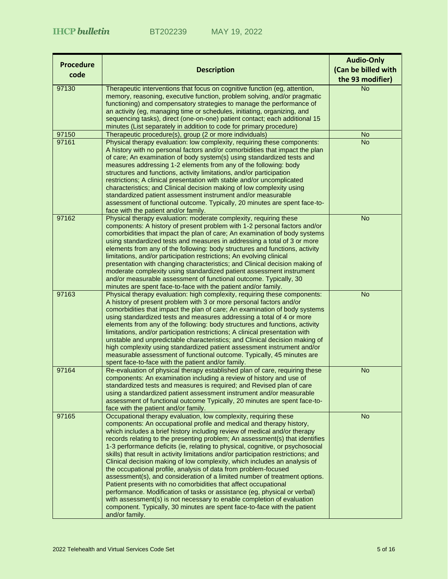| <b>Procedure</b> |                                                                                                                                                                 | <b>Audio-Only</b>      |
|------------------|-----------------------------------------------------------------------------------------------------------------------------------------------------------------|------------------------|
| code             | <b>Description</b>                                                                                                                                              | (Can be billed with    |
|                  |                                                                                                                                                                 | the 93 modifier)       |
| 97130            | Therapeutic interventions that focus on cognitive function (eg, attention,<br>memory, reasoning, executive function, problem solving, and/or pragmatic          | <b>No</b>              |
|                  | functioning) and compensatory strategies to manage the performance of                                                                                           |                        |
|                  | an activity (eg, managing time or schedules, initiating, organizing, and                                                                                        |                        |
|                  | sequencing tasks), direct (one-on-one) patient contact; each additional 15                                                                                      |                        |
|                  | minutes (List separately in addition to code for primary procedure)                                                                                             |                        |
| 97150<br>97161   | Therapeutic procedure(s), group (2 or more individuals)<br>Physical therapy evaluation: low complexity, requiring these components:                             | <b>No</b><br><b>No</b> |
|                  | A history with no personal factors and/or comorbidities that impact the plan                                                                                    |                        |
|                  | of care; An examination of body system(s) using standardized tests and                                                                                          |                        |
|                  | measures addressing 1-2 elements from any of the following: body                                                                                                |                        |
|                  | structures and functions, activity limitations, and/or participation                                                                                            |                        |
|                  | restrictions; A clinical presentation with stable and/or uncomplicated<br>characteristics; and Clinical decision making of low complexity using                 |                        |
|                  | standardized patient assessment instrument and/or measurable                                                                                                    |                        |
|                  | assessment of functional outcome. Typically, 20 minutes are spent face-to-                                                                                      |                        |
|                  | face with the patient and/or family.                                                                                                                            |                        |
| 97162            | Physical therapy evaluation: moderate complexity, requiring these<br>components: A history of present problem with 1-2 personal factors and/or                  | <b>No</b>              |
|                  | comorbidities that impact the plan of care; An examination of body systems                                                                                      |                        |
|                  | using standardized tests and measures in addressing a total of 3 or more                                                                                        |                        |
|                  | elements from any of the following: body structures and functions, activity                                                                                     |                        |
|                  | limitations, and/or participation restrictions; An evolving clinical<br>presentation with changing characteristics; and Clinical decision making of             |                        |
|                  | moderate complexity using standardized patient assessment instrument                                                                                            |                        |
|                  | and/or measurable assessment of functional outcome. Typically, 30                                                                                               |                        |
|                  | minutes are spent face-to-face with the patient and/or family.                                                                                                  |                        |
| 97163            | Physical therapy evaluation: high complexity, requiring these components:<br>A history of present problem with 3 or more personal factors and/or                | <b>No</b>              |
|                  | comorbidities that impact the plan of care; An examination of body systems                                                                                      |                        |
|                  | using standardized tests and measures addressing a total of 4 or more                                                                                           |                        |
|                  | elements from any of the following: body structures and functions, activity                                                                                     |                        |
|                  | limitations, and/or participation restrictions; A clinical presentation with<br>unstable and unpredictable characteristics; and Clinical decision making of     |                        |
|                  | high complexity using standardized patient assessment instrument and/or                                                                                         |                        |
|                  | measurable assessment of functional outcome. Typically, 45 minutes are                                                                                          |                        |
|                  | spent face-to-face with the patient and/or family.                                                                                                              |                        |
| 97164            | Re-evaluation of physical therapy established plan of care, requiring these                                                                                     | <b>No</b>              |
|                  | components: An examination including a review of history and use of<br>standardized tests and measures is required; and Revised plan of care                    |                        |
|                  | using a standardized patient assessment instrument and/or measurable                                                                                            |                        |
|                  | assessment of functional outcome Typically, 20 minutes are spent face-to-                                                                                       |                        |
|                  | face with the patient and/or family.                                                                                                                            |                        |
| 97165            | Occupational therapy evaluation, low complexity, requiring these<br>components: An occupational profile and medical and therapy history,                        | <b>No</b>              |
|                  | which includes a brief history including review of medical and/or therapy                                                                                       |                        |
|                  | records relating to the presenting problem; An assessment(s) that identifies                                                                                    |                        |
|                  | 1-3 performance deficits (ie, relating to physical, cognitive, or psychosocial                                                                                  |                        |
|                  | skills) that result in activity limitations and/or participation restrictions; and<br>Clinical decision making of low complexity, which includes an analysis of |                        |
|                  | the occupational profile, analysis of data from problem-focused                                                                                                 |                        |
|                  | assessment(s), and consideration of a limited number of treatment options.                                                                                      |                        |
|                  | Patient presents with no comorbidities that affect occupational                                                                                                 |                        |
|                  | performance. Modification of tasks or assistance (eg, physical or verbal)<br>with assessment(s) is not necessary to enable completion of evaluation             |                        |
|                  | component. Typically, 30 minutes are spent face-to-face with the patient                                                                                        |                        |
|                  | and/or family.                                                                                                                                                  |                        |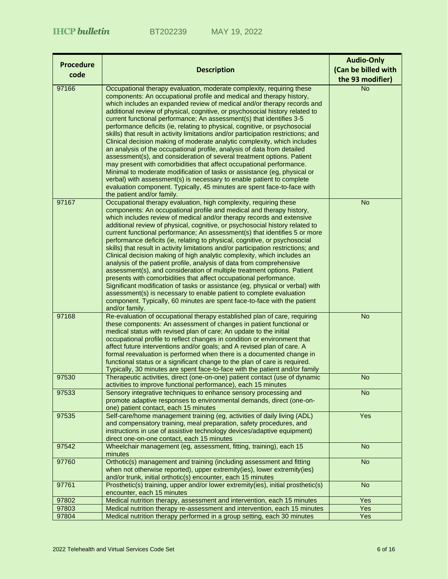|                  |                                                                                                                                                                                                                                                                                                                                                                                                                                                                                                                                                                                                                                                                                                                                                                                                                                                                                                                                                                                                                                                                                                                                             | <b>Audio-Only</b>   |
|------------------|---------------------------------------------------------------------------------------------------------------------------------------------------------------------------------------------------------------------------------------------------------------------------------------------------------------------------------------------------------------------------------------------------------------------------------------------------------------------------------------------------------------------------------------------------------------------------------------------------------------------------------------------------------------------------------------------------------------------------------------------------------------------------------------------------------------------------------------------------------------------------------------------------------------------------------------------------------------------------------------------------------------------------------------------------------------------------------------------------------------------------------------------|---------------------|
| <b>Procedure</b> | <b>Description</b>                                                                                                                                                                                                                                                                                                                                                                                                                                                                                                                                                                                                                                                                                                                                                                                                                                                                                                                                                                                                                                                                                                                          | (Can be billed with |
| code             |                                                                                                                                                                                                                                                                                                                                                                                                                                                                                                                                                                                                                                                                                                                                                                                                                                                                                                                                                                                                                                                                                                                                             | the 93 modifier)    |
| 97166            | Occupational therapy evaluation, moderate complexity, requiring these<br>components: An occupational profile and medical and therapy history,<br>which includes an expanded review of medical and/or therapy records and<br>additional review of physical, cognitive, or psychosocial history related to<br>current functional performance; An assessment(s) that identifies 3-5<br>performance deficits (ie, relating to physical, cognitive, or psychosocial<br>skills) that result in activity limitations and/or participation restrictions; and<br>Clinical decision making of moderate analytic complexity, which includes<br>an analysis of the occupational profile, analysis of data from detailed<br>assessment(s), and consideration of several treatment options. Patient<br>may present with comorbidities that affect occupational performance.<br>Minimal to moderate modification of tasks or assistance (eg, physical or<br>verbal) with assessment(s) is necessary to enable patient to complete<br>evaluation component. Typically, 45 minutes are spent face-to-face with                                               | <b>No</b>           |
| 97167            | the patient and/or family.<br>Occupational therapy evaluation, high complexity, requiring these<br>components: An occupational profile and medical and therapy history,<br>which includes review of medical and/or therapy records and extensive<br>additional review of physical, cognitive, or psychosocial history related to<br>current functional performance; An assessment(s) that identifies 5 or more<br>performance deficits (ie, relating to physical, cognitive, or psychosocial<br>skills) that result in activity limitations and/or participation restrictions; and<br>Clinical decision making of high analytic complexity, which includes an<br>analysis of the patient profile, analysis of data from comprehensive<br>assessment(s), and consideration of multiple treatment options. Patient<br>presents with comorbidities that affect occupational performance.<br>Significant modification of tasks or assistance (eg, physical or verbal) with<br>assessment(s) is necessary to enable patient to complete evaluation<br>component. Typically, 60 minutes are spent face-to-face with the patient<br>and/or family. | <b>No</b>           |
| 97168            | Re-evaluation of occupational therapy established plan of care, requiring<br>these components: An assessment of changes in patient functional or<br>medical status with revised plan of care; An update to the initial<br>occupational profile to reflect changes in condition or environment that<br>affect future interventions and/or goals; and A revised plan of care. A<br>formal reevaluation is performed when there is a documented change in<br>functional status or a significant change to the plan of care is required.<br>Typically, 30 minutes are spent face-to-face with the patient and/or family                                                                                                                                                                                                                                                                                                                                                                                                                                                                                                                         | <b>No</b>           |
| 97530            | Therapeutic activities, direct (one-on-one) patient contact (use of dynamic<br>activities to improve functional performance), each 15 minutes                                                                                                                                                                                                                                                                                                                                                                                                                                                                                                                                                                                                                                                                                                                                                                                                                                                                                                                                                                                               | <b>No</b>           |
| 97533            | Sensory integrative techniques to enhance sensory processing and<br>promote adaptive responses to environmental demands, direct (one-on-<br>one) patient contact, each 15 minutes                                                                                                                                                                                                                                                                                                                                                                                                                                                                                                                                                                                                                                                                                                                                                                                                                                                                                                                                                           | <b>No</b>           |
| 97535            | Self-care/home management training (eg, activities of daily living (ADL)<br>and compensatory training, meal preparation, safety procedures, and<br>instructions in use of assistive technology devices/adaptive equipment)<br>direct one-on-one contact, each 15 minutes                                                                                                                                                                                                                                                                                                                                                                                                                                                                                                                                                                                                                                                                                                                                                                                                                                                                    | Yes                 |
| 97542            | Wheelchair management (eg, assessment, fitting, training), each 15<br>minutes                                                                                                                                                                                                                                                                                                                                                                                                                                                                                                                                                                                                                                                                                                                                                                                                                                                                                                                                                                                                                                                               | <b>No</b>           |
| 97760            | Orthotic(s) management and training (including assessment and fitting<br>when not otherwise reported), upper extremity(ies), lower extremity(ies)<br>and/or trunk, initial orthotic(s) encounter, each 15 minutes                                                                                                                                                                                                                                                                                                                                                                                                                                                                                                                                                                                                                                                                                                                                                                                                                                                                                                                           | <b>No</b>           |
| 97761            | Prosthetic(s) training, upper and/or lower extremity(ies), initial prosthetic(s)<br>encounter, each 15 minutes                                                                                                                                                                                                                                                                                                                                                                                                                                                                                                                                                                                                                                                                                                                                                                                                                                                                                                                                                                                                                              | <b>No</b>           |
| 97802            | Medical nutrition therapy, assessment and intervention, each 15 minutes                                                                                                                                                                                                                                                                                                                                                                                                                                                                                                                                                                                                                                                                                                                                                                                                                                                                                                                                                                                                                                                                     | Yes                 |
| 97803            | Medical nutrition therapy re-assessment and intervention, each 15 minutes                                                                                                                                                                                                                                                                                                                                                                                                                                                                                                                                                                                                                                                                                                                                                                                                                                                                                                                                                                                                                                                                   | <b>Yes</b>          |
| 97804            | Medical nutrition therapy performed in a group setting, each 30 minutes                                                                                                                                                                                                                                                                                                                                                                                                                                                                                                                                                                                                                                                                                                                                                                                                                                                                                                                                                                                                                                                                     | Yes                 |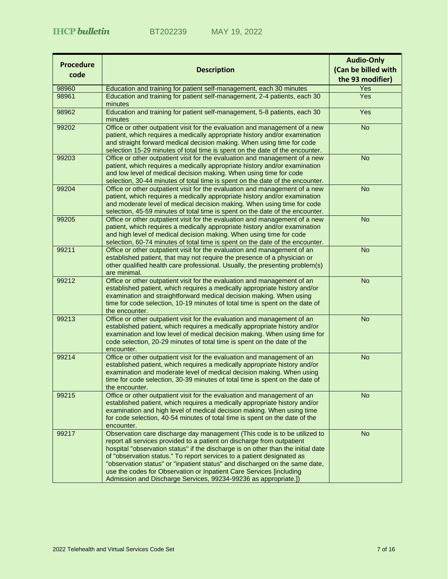| <b>Procedure</b> |                                                                                                                                                                                                                                                                                                                                                                                                                                                                                                                                            | <b>Audio-Only</b>   |
|------------------|--------------------------------------------------------------------------------------------------------------------------------------------------------------------------------------------------------------------------------------------------------------------------------------------------------------------------------------------------------------------------------------------------------------------------------------------------------------------------------------------------------------------------------------------|---------------------|
| code             | <b>Description</b>                                                                                                                                                                                                                                                                                                                                                                                                                                                                                                                         | (Can be billed with |
|                  |                                                                                                                                                                                                                                                                                                                                                                                                                                                                                                                                            | the 93 modifier)    |
| 98960            | Education and training for patient self-management, each 30 minutes                                                                                                                                                                                                                                                                                                                                                                                                                                                                        | Yes                 |
| 98961            | Education and training for patient self-management, 2-4 patients, each 30<br>minutes                                                                                                                                                                                                                                                                                                                                                                                                                                                       | Yes                 |
| 98962            | Education and training for patient self-management, 5-8 patients, each 30<br>minutes                                                                                                                                                                                                                                                                                                                                                                                                                                                       | Yes                 |
| 99202            | Office or other outpatient visit for the evaluation and management of a new<br>patient, which requires a medically appropriate history and/or examination<br>and straight forward medical decision making. When using time for code<br>selection 15-29 minutes of total time is spent on the date of the encounter.                                                                                                                                                                                                                        | <b>No</b>           |
| 99203            | Office or other outpatient visit for the evaluation and management of a new<br>patient, which requires a medically appropriate history and/or examination<br>and low level of medical decision making. When using time for code<br>selection, 30-44 minutes of total time is spent on the date of the encounter.                                                                                                                                                                                                                           | <b>No</b>           |
| 99204            | Office or other outpatient visit for the evaluation and management of a new<br>patient, which requires a medically appropriate history and/or examination<br>and moderate level of medical decision making. When using time for code<br>selection, 45-59 minutes of total time is spent on the date of the encounter.                                                                                                                                                                                                                      | <b>No</b>           |
| 99205            | Office or other outpatient visit for the evaluation and management of a new<br>patient, which requires a medically appropriate history and/or examination<br>and high level of medical decision making. When using time for code<br>selection, 60-74 minutes of total time is spent on the date of the encounter.                                                                                                                                                                                                                          | <b>No</b>           |
| 99211            | Office or other outpatient visit for the evaluation and management of an<br>established patient, that may not require the presence of a physician or<br>other qualified health care professional. Usually, the presenting problem(s)<br>are minimal.                                                                                                                                                                                                                                                                                       | <b>No</b>           |
| 99212            | Office or other outpatient visit for the evaluation and management of an<br>established patient, which requires a medically appropriate history and/or<br>examination and straightforward medical decision making. When using<br>time for code selection, 10-19 minutes of total time is spent on the date of<br>the encounter.                                                                                                                                                                                                            | <b>No</b>           |
| 99213            | Office or other outpatient visit for the evaluation and management of an<br>established patient, which requires a medically appropriate history and/or<br>examination and low level of medical decision making. When using time for<br>code selection, 20-29 minutes of total time is spent on the date of the<br>encounter.                                                                                                                                                                                                               | <b>No</b>           |
| 99214            | Office or other outpatient visit for the evaluation and management of an<br>established patient, which requires a medically appropriate history and/or<br>examination and moderate level of medical decision making. When using<br>time for code selection, 30-39 minutes of total time is spent on the date of<br>the encounter.                                                                                                                                                                                                          | <b>No</b>           |
| 99215            | Office or other outpatient visit for the evaluation and management of an<br>established patient, which requires a medically appropriate history and/or<br>examination and high level of medical decision making. When using time<br>for code selection, 40-54 minutes of total time is spent on the date of the<br>encounter.                                                                                                                                                                                                              | <b>No</b>           |
| 99217            | Observation care discharge day management (This code is to be utilized to<br>report all services provided to a patient on discharge from outpatient<br>hospital "observation status" if the discharge is on other than the initial date<br>of "observation status." To report services to a patient designated as<br>"observation status" or "inpatient status" and discharged on the same date,<br>use the codes for Observation or Inpatient Care Services [including<br>Admission and Discharge Services, 99234-99236 as appropriate.]) | <b>No</b>           |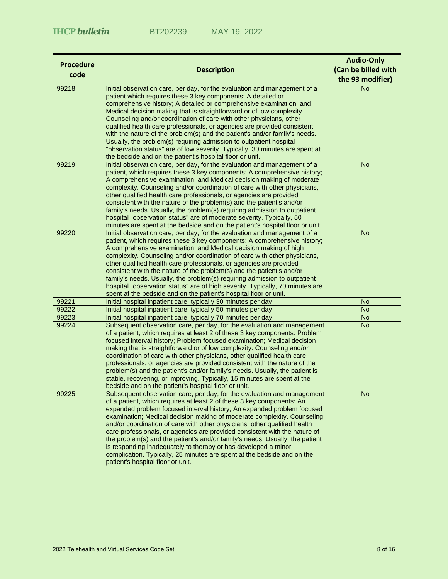|                  |                                                                                                                                                        | <b>Audio-Only</b>      |
|------------------|--------------------------------------------------------------------------------------------------------------------------------------------------------|------------------------|
| <b>Procedure</b> | <b>Description</b>                                                                                                                                     | (Can be billed with    |
| code             |                                                                                                                                                        | the 93 modifier)       |
| 99218            | Initial observation care, per day, for the evaluation and management of a                                                                              | <b>No</b>              |
|                  | patient which requires these 3 key components: A detailed or                                                                                           |                        |
|                  | comprehensive history; A detailed or comprehensive examination; and                                                                                    |                        |
|                  | Medical decision making that is straightforward or of low complexity.                                                                                  |                        |
|                  | Counseling and/or coordination of care with other physicians, other                                                                                    |                        |
|                  | qualified health care professionals, or agencies are provided consistent<br>with the nature of the problem(s) and the patient's and/or family's needs. |                        |
|                  | Usually, the problem(s) requiring admission to outpatient hospital                                                                                     |                        |
|                  | "observation status" are of low severity. Typically, 30 minutes are spent at                                                                           |                        |
|                  | the bedside and on the patient's hospital floor or unit.                                                                                               |                        |
| 99219            | Initial observation care, per day, for the evaluation and management of a                                                                              | <b>No</b>              |
|                  | patient, which requires these 3 key components: A comprehensive history;                                                                               |                        |
|                  | A comprehensive examination; and Medical decision making of moderate                                                                                   |                        |
|                  | complexity. Counseling and/or coordination of care with other physicians,                                                                              |                        |
|                  | other qualified health care professionals, or agencies are provided                                                                                    |                        |
|                  | consistent with the nature of the problem(s) and the patient's and/or                                                                                  |                        |
|                  | family's needs. Usually, the problem(s) requiring admission to outpatient                                                                              |                        |
|                  | hospital "observation status" are of moderate severity. Typically, 50<br>minutes are spent at the bedside and on the patient's hospital floor or unit. |                        |
| 99220            | Initial observation care, per day, for the evaluation and management of a                                                                              | <b>No</b>              |
|                  | patient, which requires these 3 key components: A comprehensive history;                                                                               |                        |
|                  | A comprehensive examination; and Medical decision making of high                                                                                       |                        |
|                  | complexity. Counseling and/or coordination of care with other physicians,                                                                              |                        |
|                  | other qualified health care professionals, or agencies are provided                                                                                    |                        |
|                  | consistent with the nature of the problem(s) and the patient's and/or                                                                                  |                        |
|                  | family's needs. Usually, the problem(s) requiring admission to outpatient                                                                              |                        |
|                  | hospital "observation status" are of high severity. Typically, 70 minutes are                                                                          |                        |
|                  | spent at the bedside and on the patient's hospital floor or unit.                                                                                      |                        |
| 99221            | Initial hospital inpatient care, typically 30 minutes per day                                                                                          | <b>No</b>              |
| 99222            | Initial hospital inpatient care, typically 50 minutes per day                                                                                          | <b>No</b>              |
| 99223<br>99224   | Initial hospital inpatient care, typically 70 minutes per day<br>Subsequent observation care, per day, for the evaluation and management               | <b>No</b><br><b>No</b> |
|                  | of a patient, which requires at least 2 of these 3 key components: Problem                                                                             |                        |
|                  | focused interval history; Problem focused examination; Medical decision                                                                                |                        |
|                  | making that is straightforward or of low complexity. Counseling and/or                                                                                 |                        |
|                  | coordination of care with other physicians, other qualified health care                                                                                |                        |
|                  | professionals, or agencies are provided consistent with the nature of the                                                                              |                        |
|                  | problem(s) and the patient's and/or family's needs. Usually, the patient is                                                                            |                        |
|                  | stable, recovering, or improving. Typically, 15 minutes are spent at the                                                                               |                        |
|                  | bedside and on the patient's hospital floor or unit.                                                                                                   |                        |
| 99225            | Subsequent observation care, per day, for the evaluation and management                                                                                | <b>No</b>              |
|                  | of a patient, which requires at least 2 of these 3 key components: An                                                                                  |                        |
|                  | expanded problem focused interval history; An expanded problem focused<br>examination; Medical decision making of moderate complexity. Counseling      |                        |
|                  | and/or coordination of care with other physicians, other qualified health                                                                              |                        |
|                  | care professionals, or agencies are provided consistent with the nature of                                                                             |                        |
|                  | the problem(s) and the patient's and/or family's needs. Usually, the patient                                                                           |                        |
|                  | is responding inadequately to therapy or has developed a minor                                                                                         |                        |
|                  | complication. Typically, 25 minutes are spent at the bedside and on the                                                                                |                        |
|                  | patient's hospital floor or unit.                                                                                                                      |                        |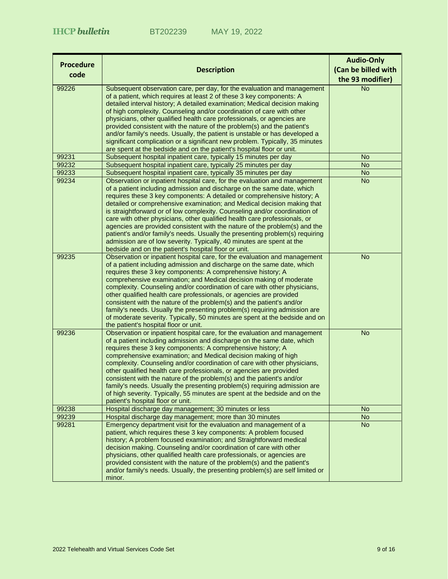|                  |                                                                                                                                                     | <b>Audio-Only</b>      |
|------------------|-----------------------------------------------------------------------------------------------------------------------------------------------------|------------------------|
| <b>Procedure</b> | <b>Description</b>                                                                                                                                  | (Can be billed with    |
| code             |                                                                                                                                                     | the 93 modifier)       |
| 99226            | Subsequent observation care, per day, for the evaluation and management                                                                             | <b>No</b>              |
|                  | of a patient, which requires at least 2 of these 3 key components: A                                                                                |                        |
|                  | detailed interval history; A detailed examination; Medical decision making                                                                          |                        |
|                  | of high complexity. Counseling and/or coordination of care with other                                                                               |                        |
|                  | physicians, other qualified health care professionals, or agencies are                                                                              |                        |
|                  | provided consistent with the nature of the problem(s) and the patient's                                                                             |                        |
|                  | and/or family's needs. Usually, the patient is unstable or has developed a                                                                          |                        |
|                  | significant complication or a significant new problem. Typically, 35 minutes                                                                        |                        |
| 99231            | are spent at the bedside and on the patient's hospital floor or unit.<br>Subsequent hospital inpatient care, typically 15 minutes per day           | <b>No</b>              |
| 99232            | Subsequent hospital inpatient care, typically 25 minutes per day                                                                                    | <b>No</b>              |
| 99233            | Subsequent hospital inpatient care, typically 35 minutes per day                                                                                    | <b>No</b>              |
| 99234            | Observation or inpatient hospital care, for the evaluation and management                                                                           | <b>No</b>              |
|                  | of a patient including admission and discharge on the same date, which                                                                              |                        |
|                  | requires these 3 key components: A detailed or comprehensive history; A                                                                             |                        |
|                  | detailed or comprehensive examination; and Medical decision making that                                                                             |                        |
|                  | is straightforward or of low complexity. Counseling and/or coordination of                                                                          |                        |
|                  | care with other physicians, other qualified health care professionals, or                                                                           |                        |
|                  | agencies are provided consistent with the nature of the problem(s) and the                                                                          |                        |
|                  | patient's and/or family's needs. Usually the presenting problem(s) requiring                                                                        |                        |
|                  | admission are of low severity. Typically, 40 minutes are spent at the                                                                               |                        |
| 99235            | bedside and on the patient's hospital floor or unit.<br>Observation or inpatient hospital care, for the evaluation and management                   | <b>No</b>              |
|                  | of a patient including admission and discharge on the same date, which                                                                              |                        |
|                  | requires these 3 key components: A comprehensive history; A                                                                                         |                        |
|                  | comprehensive examination; and Medical decision making of moderate                                                                                  |                        |
|                  | complexity. Counseling and/or coordination of care with other physicians,                                                                           |                        |
|                  | other qualified health care professionals, or agencies are provided                                                                                 |                        |
|                  | consistent with the nature of the problem(s) and the patient's and/or                                                                               |                        |
|                  | family's needs. Usually the presenting problem(s) requiring admission are                                                                           |                        |
|                  | of moderate severity. Typically, 50 minutes are spent at the bedside and on                                                                         |                        |
|                  | the patient's hospital floor or unit.                                                                                                               |                        |
| 99236            | Observation or inpatient hospital care, for the evaluation and management<br>of a patient including admission and discharge on the same date, which | <b>No</b>              |
|                  | requires these 3 key components: A comprehensive history; A                                                                                         |                        |
|                  | comprehensive examination; and Medical decision making of high                                                                                      |                        |
|                  | complexity. Counseling and/or coordination of care with other physicians,                                                                           |                        |
|                  | other qualified health care professionals, or agencies are provided                                                                                 |                        |
|                  | consistent with the nature of the problem(s) and the patient's and/or                                                                               |                        |
|                  | family's needs. Usually the presenting problem(s) requiring admission are                                                                           |                        |
|                  | of high severity. Typically, 55 minutes are spent at the bedside and on the                                                                         |                        |
|                  | patient's hospital floor or unit.                                                                                                                   |                        |
| 99238<br>99239   | Hospital discharge day management; 30 minutes or less                                                                                               | <b>No</b><br><b>No</b> |
| 99281            | Hospital discharge day management; more than 30 minutes<br>Emergency department visit for the evaluation and management of a                        | <b>No</b>              |
|                  | patient, which requires these 3 key components: A problem focused                                                                                   |                        |
|                  | history; A problem focused examination; and Straightforward medical                                                                                 |                        |
|                  | decision making. Counseling and/or coordination of care with other                                                                                  |                        |
|                  | physicians, other qualified health care professionals, or agencies are                                                                              |                        |
|                  | provided consistent with the nature of the problem(s) and the patient's                                                                             |                        |
|                  | and/or family's needs. Usually, the presenting problem(s) are self limited or                                                                       |                        |
|                  | minor.                                                                                                                                              |                        |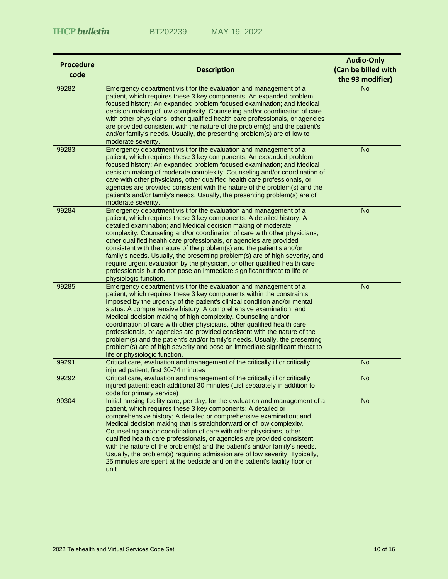| <b>Procedure</b><br>code | <b>Description</b>                                                                                                                                                                                                                                                                                                                                                                                                                                                                                                                                                                                                                                                                                                  | <b>Audio-Only</b><br>(Can be billed with<br>the 93 modifier) |
|--------------------------|---------------------------------------------------------------------------------------------------------------------------------------------------------------------------------------------------------------------------------------------------------------------------------------------------------------------------------------------------------------------------------------------------------------------------------------------------------------------------------------------------------------------------------------------------------------------------------------------------------------------------------------------------------------------------------------------------------------------|--------------------------------------------------------------|
| 99282                    | Emergency department visit for the evaluation and management of a<br>patient, which requires these 3 key components: An expanded problem<br>focused history; An expanded problem focused examination; and Medical<br>decision making of low complexity. Counseling and/or coordination of care<br>with other physicians, other qualified health care professionals, or agencies<br>are provided consistent with the nature of the problem(s) and the patient's<br>and/or family's needs. Usually, the presenting problem(s) are of low to<br>moderate severity.                                                                                                                                                     | <b>No</b>                                                    |
| 99283                    | Emergency department visit for the evaluation and management of a<br>patient, which requires these 3 key components: An expanded problem<br>focused history; An expanded problem focused examination; and Medical<br>decision making of moderate complexity. Counseling and/or coordination of<br>care with other physicians, other qualified health care professionals, or<br>agencies are provided consistent with the nature of the problem(s) and the<br>patient's and/or family's needs. Usually, the presenting problem(s) are of<br>moderate severity.                                                                                                                                                       | <b>No</b>                                                    |
| 99284                    | Emergency department visit for the evaluation and management of a<br>patient, which requires these 3 key components: A detailed history; A<br>detailed examination; and Medical decision making of moderate<br>complexity. Counseling and/or coordination of care with other physicians,<br>other qualified health care professionals, or agencies are provided<br>consistent with the nature of the problem(s) and the patient's and/or<br>family's needs. Usually, the presenting problem(s) are of high severity, and<br>require urgent evaluation by the physician, or other qualified health care<br>professionals but do not pose an immediate significant threat to life or<br>physiologic function.         | <b>No</b>                                                    |
| 99285                    | Emergency department visit for the evaluation and management of a<br>patient, which requires these 3 key components within the constraints<br>imposed by the urgency of the patient's clinical condition and/or mental<br>status: A comprehensive history; A comprehensive examination; and<br>Medical decision making of high complexity. Counseling and/or<br>coordination of care with other physicians, other qualified health care<br>professionals, or agencies are provided consistent with the nature of the<br>problem(s) and the patient's and/or family's needs. Usually, the presenting<br>problem(s) are of high severity and pose an immediate significant threat to<br>life or physiologic function. | <b>No</b>                                                    |
| 99291                    | Critical care, evaluation and management of the critically ill or critically<br>injured patient; first 30-74 minutes                                                                                                                                                                                                                                                                                                                                                                                                                                                                                                                                                                                                | <b>No</b>                                                    |
| 99292                    | Critical care, evaluation and management of the critically ill or critically<br>injured patient; each additional 30 minutes (List separately in addition to<br>code for primary service)                                                                                                                                                                                                                                                                                                                                                                                                                                                                                                                            | <b>No</b>                                                    |
| 99304                    | Initial nursing facility care, per day, for the evaluation and management of a<br>patient, which requires these 3 key components: A detailed or<br>comprehensive history; A detailed or comprehensive examination; and<br>Medical decision making that is straightforward or of low complexity.<br>Counseling and/or coordination of care with other physicians, other<br>qualified health care professionals, or agencies are provided consistent<br>with the nature of the problem(s) and the patient's and/or family's needs.<br>Usually, the problem(s) requiring admission are of low severity. Typically,<br>25 minutes are spent at the bedside and on the patient's facility floor or<br>unit.              | <b>No</b>                                                    |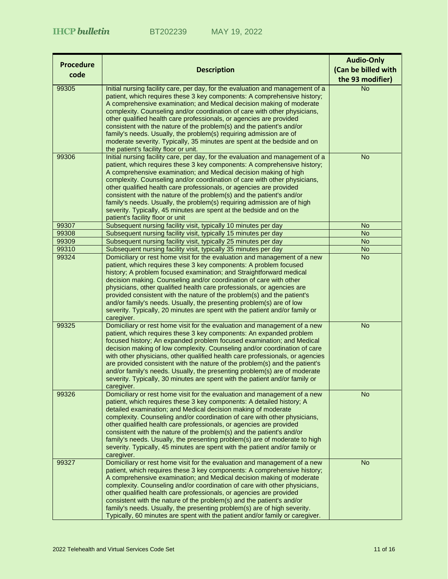|                  |                                                                                                                                                                                                                                                                                                                                                                                                                                                                                                                                                                                                                                                            | <b>Audio-Only</b>      |
|------------------|------------------------------------------------------------------------------------------------------------------------------------------------------------------------------------------------------------------------------------------------------------------------------------------------------------------------------------------------------------------------------------------------------------------------------------------------------------------------------------------------------------------------------------------------------------------------------------------------------------------------------------------------------------|------------------------|
| <b>Procedure</b> | <b>Description</b>                                                                                                                                                                                                                                                                                                                                                                                                                                                                                                                                                                                                                                         | (Can be billed with    |
| code             |                                                                                                                                                                                                                                                                                                                                                                                                                                                                                                                                                                                                                                                            | the 93 modifier)       |
| 99305            | Initial nursing facility care, per day, for the evaluation and management of a<br>patient, which requires these 3 key components: A comprehensive history;<br>A comprehensive examination; and Medical decision making of moderate<br>complexity. Counseling and/or coordination of care with other physicians,<br>other qualified health care professionals, or agencies are provided<br>consistent with the nature of the problem(s) and the patient's and/or<br>family's needs. Usually, the problem(s) requiring admission are of<br>moderate severity. Typically, 35 minutes are spent at the bedside and on<br>the patient's facility floor or unit. | $\overline{N}$         |
| 99306            | Initial nursing facility care, per day, for the evaluation and management of a<br>patient, which requires these 3 key components: A comprehensive history;<br>A comprehensive examination; and Medical decision making of high<br>complexity. Counseling and/or coordination of care with other physicians,<br>other qualified health care professionals, or agencies are provided<br>consistent with the nature of the problem(s) and the patient's and/or<br>family's needs. Usually, the problem(s) requiring admission are of high<br>severity. Typically, 45 minutes are spent at the bedside and on the<br>patient's facility floor or unit          | <b>No</b>              |
| 99307            | Subsequent nursing facility visit, typically 10 minutes per day                                                                                                                                                                                                                                                                                                                                                                                                                                                                                                                                                                                            | No.                    |
| 99308            | Subsequent nursing facility visit, typically 15 minutes per day                                                                                                                                                                                                                                                                                                                                                                                                                                                                                                                                                                                            | <b>No</b>              |
| 99309            | Subsequent nursing facility visit, typically 25 minutes per day                                                                                                                                                                                                                                                                                                                                                                                                                                                                                                                                                                                            | <b>No</b>              |
| 99310<br>99324   | Subsequent nursing facility visit, typically 35 minutes per day<br>Domiciliary or rest home visit for the evaluation and management of a new                                                                                                                                                                                                                                                                                                                                                                                                                                                                                                               | <b>No</b><br><b>No</b> |
|                  | patient, which requires these 3 key components: A problem focused<br>history; A problem focused examination; and Straightforward medical<br>decision making. Counseling and/or coordination of care with other<br>physicians, other qualified health care professionals, or agencies are<br>provided consistent with the nature of the problem(s) and the patient's<br>and/or family's needs. Usually, the presenting problem(s) are of low<br>severity. Typically, 20 minutes are spent with the patient and/or family or<br>caregiver.                                                                                                                   |                        |
| 99325            | Domiciliary or rest home visit for the evaluation and management of a new<br>patient, which requires these 3 key components: An expanded problem<br>focused history; An expanded problem focused examination; and Medical<br>decision making of low complexity. Counseling and/or coordination of care<br>with other physicians, other qualified health care professionals, or agencies<br>are provided consistent with the nature of the problem(s) and the patient's<br>and/or family's needs. Usually, the presenting problem(s) are of moderate<br>severity. Typically, 30 minutes are spent with the patient and/or family or<br>caregiver.           | <b>No</b>              |
| 99326            | Domiciliary or rest home visit for the evaluation and management of a new<br>patient, which requires these 3 key components: A detailed history; A<br>detailed examination; and Medical decision making of moderate<br>complexity. Counseling and/or coordination of care with other physicians,<br>other qualified health care professionals, or agencies are provided<br>consistent with the nature of the problem(s) and the patient's and/or<br>family's needs. Usually, the presenting problem(s) are of moderate to high<br>severity. Typically, 45 minutes are spent with the patient and/or family or<br>caregiver.                                | <b>No</b>              |
| 99327            | Domiciliary or rest home visit for the evaluation and management of a new<br>patient, which requires these 3 key components: A comprehensive history;<br>A comprehensive examination; and Medical decision making of moderate<br>complexity. Counseling and/or coordination of care with other physicians,<br>other qualified health care professionals, or agencies are provided<br>consistent with the nature of the problem(s) and the patient's and/or<br>family's needs. Usually, the presenting problem(s) are of high severity.<br>Typically, 60 minutes are spent with the patient and/or family or caregiver.                                     | <b>No</b>              |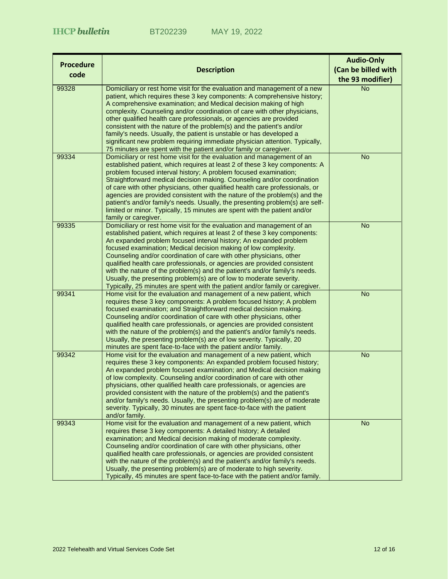| <b>Procedure</b> | <b>Description</b>                                                                                                                                                                                                                                                                                                                                                                                                                                                                                                                                                                                                                                                                  | <b>Audio-Only</b><br>(Can be billed with |
|------------------|-------------------------------------------------------------------------------------------------------------------------------------------------------------------------------------------------------------------------------------------------------------------------------------------------------------------------------------------------------------------------------------------------------------------------------------------------------------------------------------------------------------------------------------------------------------------------------------------------------------------------------------------------------------------------------------|------------------------------------------|
| code             |                                                                                                                                                                                                                                                                                                                                                                                                                                                                                                                                                                                                                                                                                     | the 93 modifier)                         |
| 99328            | Domiciliary or rest home visit for the evaluation and management of a new<br>patient, which requires these 3 key components: A comprehensive history;<br>A comprehensive examination; and Medical decision making of high<br>complexity. Counseling and/or coordination of care with other physicians,<br>other qualified health care professionals, or agencies are provided<br>consistent with the nature of the problem(s) and the patient's and/or<br>family's needs. Usually, the patient is unstable or has developed a<br>significant new problem requiring immediate physician attention. Typically,<br>75 minutes are spent with the patient and/or family or caregiver.   | <b>No</b>                                |
| 99334            | Domiciliary or rest home visit for the evaluation and management of an<br>established patient, which requires at least 2 of these 3 key components: A<br>problem focused interval history; A problem focused examination;<br>Straightforward medical decision making. Counseling and/or coordination<br>of care with other physicians, other qualified health care professionals, or<br>agencies are provided consistent with the nature of the problem(s) and the<br>patient's and/or family's needs. Usually, the presenting problem(s) are self-<br>limited or minor. Typically, 15 minutes are spent with the patient and/or<br>family or caregiver.                            | <b>No</b>                                |
| 99335            | Domiciliary or rest home visit for the evaluation and management of an<br>established patient, which requires at least 2 of these 3 key components:<br>An expanded problem focused interval history; An expanded problem<br>focused examination; Medical decision making of low complexity.<br>Counseling and/or coordination of care with other physicians, other<br>qualified health care professionals, or agencies are provided consistent<br>with the nature of the problem(s) and the patient's and/or family's needs.<br>Usually, the presenting problem(s) are of low to moderate severity.<br>Typically, 25 minutes are spent with the patient and/or family or caregiver. | <b>No</b>                                |
| 99341            | Home visit for the evaluation and management of a new patient, which<br>requires these 3 key components: A problem focused history; A problem<br>focused examination; and Straightforward medical decision making.<br>Counseling and/or coordination of care with other physicians, other<br>qualified health care professionals, or agencies are provided consistent<br>with the nature of the problem(s) and the patient's and/or family's needs.<br>Usually, the presenting problem(s) are of low severity. Typically, 20<br>minutes are spent face-to-face with the patient and/or family.                                                                                      | <b>No</b>                                |
| 99342            | Home visit for the evaluation and management of a new patient, which<br>requires these 3 key components: An expanded problem focused history;<br>An expanded problem focused examination; and Medical decision making<br>of low complexity. Counseling and/or coordination of care with other<br>physicians, other qualified health care professionals, or agencies are<br>provided consistent with the nature of the problem(s) and the patient's<br>and/or family's needs. Usually, the presenting problem(s) are of moderate<br>severity. Typically, 30 minutes are spent face-to-face with the patient<br>and/or family.                                                        | <b>No</b>                                |
| 99343            | Home visit for the evaluation and management of a new patient, which<br>requires these 3 key components: A detailed history; A detailed<br>examination; and Medical decision making of moderate complexity.<br>Counseling and/or coordination of care with other physicians, other<br>qualified health care professionals, or agencies are provided consistent<br>with the nature of the problem(s) and the patient's and/or family's needs.<br>Usually, the presenting problem(s) are of moderate to high severity.<br>Typically, 45 minutes are spent face-to-face with the patient and/or family.                                                                                | <b>No</b>                                |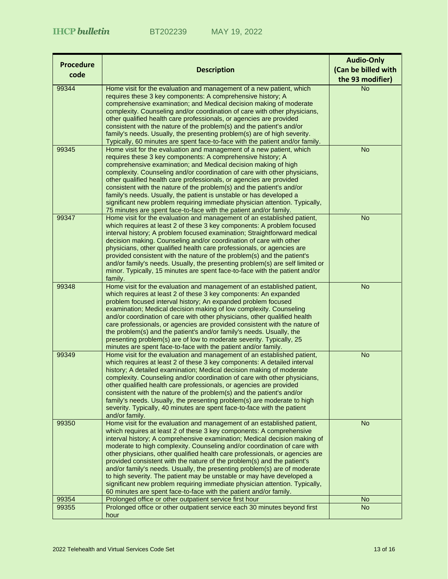| <b>Procedure</b> |                                                                                                                                                                                                                                                                                                                                                                                                                                                                                                                                                                                                                                                                                                                                                                               | <b>Audio-Only</b>   |
|------------------|-------------------------------------------------------------------------------------------------------------------------------------------------------------------------------------------------------------------------------------------------------------------------------------------------------------------------------------------------------------------------------------------------------------------------------------------------------------------------------------------------------------------------------------------------------------------------------------------------------------------------------------------------------------------------------------------------------------------------------------------------------------------------------|---------------------|
| code             | <b>Description</b>                                                                                                                                                                                                                                                                                                                                                                                                                                                                                                                                                                                                                                                                                                                                                            | (Can be billed with |
|                  |                                                                                                                                                                                                                                                                                                                                                                                                                                                                                                                                                                                                                                                                                                                                                                               | the 93 modifier)    |
| 99344            | Home visit for the evaluation and management of a new patient, which<br>requires these 3 key components: A comprehensive history; A<br>comprehensive examination; and Medical decision making of moderate<br>complexity. Counseling and/or coordination of care with other physicians,<br>other qualified health care professionals, or agencies are provided<br>consistent with the nature of the problem(s) and the patient's and/or                                                                                                                                                                                                                                                                                                                                        | <b>No</b>           |
|                  | family's needs. Usually, the presenting problem(s) are of high severity.<br>Typically, 60 minutes are spent face-to-face with the patient and/or family.                                                                                                                                                                                                                                                                                                                                                                                                                                                                                                                                                                                                                      |                     |
| 99345            | Home visit for the evaluation and management of a new patient, which<br>requires these 3 key components: A comprehensive history; A<br>comprehensive examination; and Medical decision making of high<br>complexity. Counseling and/or coordination of care with other physicians,<br>other qualified health care professionals, or agencies are provided<br>consistent with the nature of the problem(s) and the patient's and/or<br>family's needs. Usually, the patient is unstable or has developed a<br>significant new problem requiring immediate physician attention. Typically,<br>75 minutes are spent face-to-face with the patient and/or family.                                                                                                                 | <b>No</b>           |
| 99347            | Home visit for the evaluation and management of an established patient,<br>which requires at least 2 of these 3 key components: A problem focused<br>interval history; A problem focused examination; Straightforward medical<br>decision making. Counseling and/or coordination of care with other<br>physicians, other qualified health care professionals, or agencies are<br>provided consistent with the nature of the problem(s) and the patient's<br>and/or family's needs. Usually, the presenting problem(s) are self limited or<br>minor. Typically, 15 minutes are spent face-to-face with the patient and/or<br>family.                                                                                                                                           | <b>No</b>           |
| 99348            | Home visit for the evaluation and management of an established patient,<br>which requires at least 2 of these 3 key components: An expanded<br>problem focused interval history; An expanded problem focused<br>examination; Medical decision making of low complexity. Counseling<br>and/or coordination of care with other physicians, other qualified health<br>care professionals, or agencies are provided consistent with the nature of<br>the problem(s) and the patient's and/or family's needs. Usually, the<br>presenting problem(s) are of low to moderate severity. Typically, 25<br>minutes are spent face-to-face with the patient and/or family.                                                                                                               | <b>No</b>           |
| 99349            | Home visit for the evaluation and management of an established patient,<br>which requires at least 2 of these 3 key components: A detailed interval<br>history; A detailed examination; Medical decision making of moderate<br>complexity. Counseling and/or coordination of care with other physicians,<br>other qualified health care professionals, or agencies are provided<br>consistent with the nature of the problem(s) and the patient's and/or<br>family's needs. Usually, the presenting problem(s) are moderate to high<br>severity. Typically, 40 minutes are spent face-to-face with the patient<br>and/or family.                                                                                                                                              | <b>No</b>           |
| 99350            | Home visit for the evaluation and management of an established patient,<br>which requires at least 2 of these 3 key components: A comprehensive<br>interval history; A comprehensive examination; Medical decision making of<br>moderate to high complexity. Counseling and/or coordination of care with<br>other physicians, other qualified health care professionals, or agencies are<br>provided consistent with the nature of the problem(s) and the patient's<br>and/or family's needs. Usually, the presenting problem(s) are of moderate<br>to high severity. The patient may be unstable or may have developed a<br>significant new problem requiring immediate physician attention. Typically,<br>60 minutes are spent face-to-face with the patient and/or family. | <b>No</b>           |
| 99354            | Prolonged office or other outpatient service first hour                                                                                                                                                                                                                                                                                                                                                                                                                                                                                                                                                                                                                                                                                                                       | No.                 |
| 99355            | Prolonged office or other outpatient service each 30 minutes beyond first<br>hour                                                                                                                                                                                                                                                                                                                                                                                                                                                                                                                                                                                                                                                                                             | <b>No</b>           |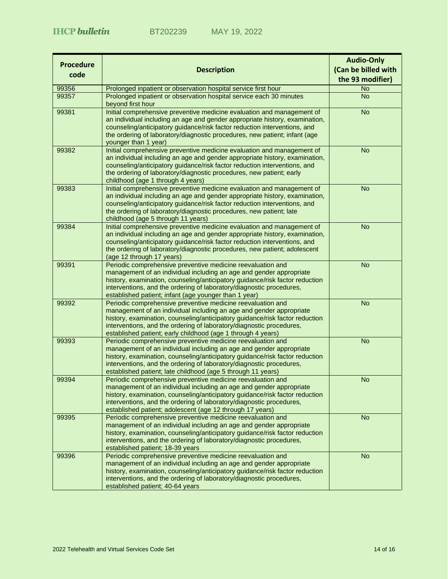| <b>Procedure</b> |                                                                                                                                                          | <b>Audio-Only</b>             |
|------------------|----------------------------------------------------------------------------------------------------------------------------------------------------------|-------------------------------|
| code             | <b>Description</b>                                                                                                                                       | (Can be billed with           |
| 99356            | Prolonged inpatient or observation hospital service first hour                                                                                           | the 93 modifier)<br><b>No</b> |
| 99357            | Prolonged inpatient or observation hospital service each 30 minutes                                                                                      | <b>No</b>                     |
|                  | beyond first hour                                                                                                                                        |                               |
| 99381            | Initial comprehensive preventive medicine evaluation and management of                                                                                   | <b>No</b>                     |
|                  | an individual including an age and gender appropriate history, examination,<br>counseling/anticipatory guidance/risk factor reduction interventions, and |                               |
|                  | the ordering of laboratory/diagnostic procedures, new patient; infant (age                                                                               |                               |
|                  | younger than 1 year)                                                                                                                                     |                               |
| 99382            | Initial comprehensive preventive medicine evaluation and management of                                                                                   | <b>No</b>                     |
|                  | an individual including an age and gender appropriate history, examination,                                                                              |                               |
|                  | counseling/anticipatory guidance/risk factor reduction interventions, and<br>the ordering of laboratory/diagnostic procedures, new patient; early        |                               |
|                  | childhood (age 1 through 4 years)                                                                                                                        |                               |
| 99383            | Initial comprehensive preventive medicine evaluation and management of                                                                                   | <b>No</b>                     |
|                  | an individual including an age and gender appropriate history, examination,                                                                              |                               |
|                  | counseling/anticipatory guidance/risk factor reduction interventions, and<br>the ordering of laboratory/diagnostic procedures, new patient; late         |                               |
|                  | childhood (age 5 through 11 years)                                                                                                                       |                               |
| 99384            | Initial comprehensive preventive medicine evaluation and management of                                                                                   | <b>No</b>                     |
|                  | an individual including an age and gender appropriate history, examination,                                                                              |                               |
|                  | counseling/anticipatory guidance/risk factor reduction interventions, and<br>the ordering of laboratory/diagnostic procedures, new patient; adolescent   |                               |
|                  | (age 12 through 17 years)                                                                                                                                |                               |
| 99391            | Periodic comprehensive preventive medicine reevaluation and                                                                                              | <b>No</b>                     |
|                  | management of an individual including an age and gender appropriate                                                                                      |                               |
|                  | history, examination, counseling/anticipatory guidance/risk factor reduction<br>interventions, and the ordering of laboratory/diagnostic procedures,     |                               |
|                  | established patient; infant (age younger than 1 year)                                                                                                    |                               |
| 99392            | Periodic comprehensive preventive medicine reevaluation and                                                                                              | <b>No</b>                     |
|                  | management of an individual including an age and gender appropriate                                                                                      |                               |
|                  | history, examination, counseling/anticipatory guidance/risk factor reduction<br>interventions, and the ordering of laboratory/diagnostic procedures,     |                               |
|                  | established patient; early childhood (age 1 through 4 years)                                                                                             |                               |
| 99393            | Periodic comprehensive preventive medicine reevaluation and                                                                                              | <b>No</b>                     |
|                  | management of an individual including an age and gender appropriate                                                                                      |                               |
|                  | history, examination, counseling/anticipatory guidance/risk factor reduction<br>interventions, and the ordering of laboratory/diagnostic procedures,     |                               |
|                  | established patient; late childhood (age 5 through 11 years)                                                                                             |                               |
| 99394            | Periodic comprehensive preventive medicine reevaluation and                                                                                              | <b>No</b>                     |
|                  | management of an individual including an age and gender appropriate                                                                                      |                               |
|                  | history, examination, counseling/anticipatory guidance/risk factor reduction<br>interventions, and the ordering of laboratory/diagnostic procedures,     |                               |
|                  | established patient; adolescent (age 12 through 17 years)                                                                                                |                               |
| 99395            | Periodic comprehensive preventive medicine reevaluation and                                                                                              | <b>No</b>                     |
|                  | management of an individual including an age and gender appropriate                                                                                      |                               |
|                  | history, examination, counseling/anticipatory guidance/risk factor reduction<br>interventions, and the ordering of laboratory/diagnostic procedures,     |                               |
|                  | established patient; 18-39 years                                                                                                                         |                               |
| 99396            | Periodic comprehensive preventive medicine reevaluation and                                                                                              | <b>No</b>                     |
|                  | management of an individual including an age and gender appropriate                                                                                      |                               |
|                  | history, examination, counseling/anticipatory guidance/risk factor reduction<br>interventions, and the ordering of laboratory/diagnostic procedures,     |                               |
|                  | established patient; 40-64 years                                                                                                                         |                               |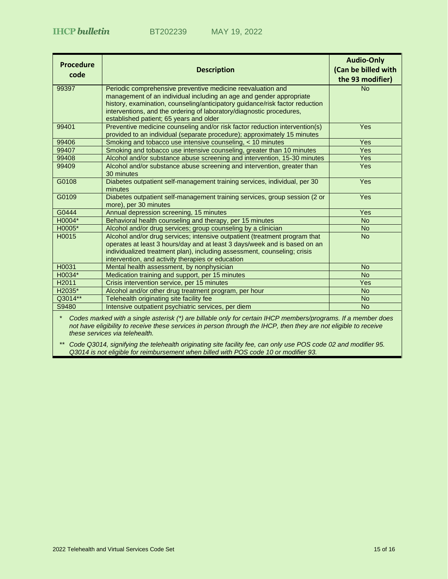| <b>Procedure</b>  |                                                                                                                        | <b>Audio-Only</b>   |
|-------------------|------------------------------------------------------------------------------------------------------------------------|---------------------|
| code              | <b>Description</b>                                                                                                     | (Can be billed with |
|                   |                                                                                                                        | the 93 modifier)    |
| 99397             | Periodic comprehensive preventive medicine reevaluation and                                                            | <b>No</b>           |
|                   | management of an individual including an age and gender appropriate                                                    |                     |
|                   | history, examination, counseling/anticipatory guidance/risk factor reduction                                           |                     |
|                   | interventions, and the ordering of laboratory/diagnostic procedures,                                                   |                     |
| 99401             | established patient; 65 years and older<br>Preventive medicine counseling and/or risk factor reduction intervention(s) | Yes                 |
|                   | provided to an individual (separate procedure); approximately 15 minutes                                               |                     |
| 99406             | Smoking and tobacco use intensive counseling, < 10 minutes                                                             | Yes                 |
| 99407             | Smoking and tobacco use intensive counseling, greater than 10 minutes                                                  | <b>Yes</b>          |
| 99408             | Alcohol and/or substance abuse screening and intervention, 15-30 minutes                                               | Yes                 |
| 99409             | Alcohol and/or substance abuse screening and intervention, greater than                                                | Yes                 |
|                   | 30 minutes                                                                                                             |                     |
| G0108             | Diabetes outpatient self-management training services, individual, per 30                                              | Yes                 |
|                   | minutes                                                                                                                |                     |
| G0109             | Diabetes outpatient self-management training services, group session (2 or<br>more), per 30 minutes                    | Yes                 |
| G0444             | Annual depression screening, 15 minutes                                                                                | Yes                 |
| H0004*            | Behavioral health counseling and therapy, per 15 minutes                                                               | <b>No</b>           |
| H0005*            | Alcohol and/or drug services; group counseling by a clinician                                                          | <b>No</b>           |
| H0015             | Alcohol and/or drug services; intensive outpatient (treatment program that                                             | <b>No</b>           |
|                   | operates at least 3 hours/day and at least 3 days/week and is based on an                                              |                     |
|                   | individualized treatment plan), including assessment, counseling; crisis                                               |                     |
|                   | intervention, and activity therapies or education                                                                      |                     |
| H0031             | Mental health assessment, by nonphysician                                                                              | <b>No</b>           |
| H0034*            | Medication training and support, per 15 minutes                                                                        | <b>No</b>           |
| H <sub>2011</sub> | Crisis intervention service, per 15 minutes                                                                            | Yes                 |
| H2035*            | Alcohol and/or other drug treatment program, per hour                                                                  | <b>No</b>           |
| Q3014**           | Telehealth originating site facility fee                                                                               | <b>No</b>           |
| S9480             | Intensive outpatient psychiatric services, per diem                                                                    | <b>No</b>           |

*\* Codes marked with a single asterisk (\*) are billable only for certain IHCP members/programs. If a member does*  not have eligibility to receive these services in person through the IHCP, then they are not eligible to receive *these services via telehealth.*

*\*\* Code Q3014, signifying the telehealth originating site facility fee, can only use POS code 02 and modifier 95. Q3014 is not eligible for reimbursement when billed with POS code 10 or modifier 93.*